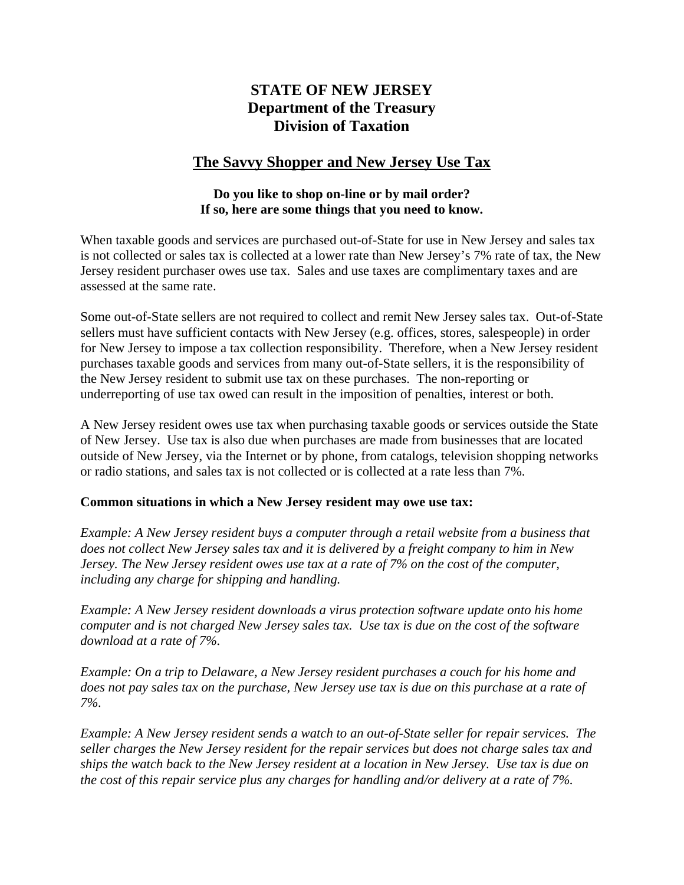# **STATE OF NEW JERSEY Department of the Treasury Division of Taxation**

# **The Savvy Shopper and New Jersey Use Tax**

# **Do you like to shop on-line or by mail order? If so, here are some things that you need to know.**

When taxable goods and services are purchased out-of-State for use in New Jersey and sales tax is not collected or sales tax is collected at a lower rate than New Jersey's 7% rate of tax, the New Jersey resident purchaser owes use tax. Sales and use taxes are complimentary taxes and are assessed at the same rate.

Some out-of-State sellers are not required to collect and remit New Jersey sales tax. Out-of-State sellers must have sufficient contacts with New Jersey (e.g. offices, stores, salespeople) in order for New Jersey to impose a tax collection responsibility. Therefore, when a New Jersey resident purchases taxable goods and services from many out-of-State sellers, it is the responsibility of the New Jersey resident to submit use tax on these purchases. The non-reporting or underreporting of use tax owed can result in the imposition of penalties, interest or both.

A New Jersey resident owes use tax when purchasing taxable goods or services outside the State of New Jersey. Use tax is also due when purchases are made from businesses that are located outside of New Jersey, via the Internet or by phone, from catalogs, television shopping networks or radio stations, and sales tax is not collected or is collected at a rate less than 7%.

#### **Common situations in which a New Jersey resident may owe use tax:**

*Example: A New Jersey resident buys a computer through a retail website from a business that does not collect New Jersey sales tax and it is delivered by a freight company to him in New Jersey. The New Jersey resident owes use tax at a rate of 7% on the cost of the computer, including any charge for shipping and handling.* 

*Example: A New Jersey resident downloads a virus protection software update onto his home computer and is not charged New Jersey sales tax. Use tax is due on the cost of the software download at a rate of 7%.* 

*Example: On a trip to Delaware, a New Jersey resident purchases a couch for his home and does not pay sales tax on the purchase, New Jersey use tax is due on this purchase at a rate of 7%.* 

*Example: A New Jersey resident sends a watch to an out-of-State seller for repair services. The seller charges the New Jersey resident for the repair services but does not charge sales tax and ships the watch back to the New Jersey resident at a location in New Jersey. Use tax is due on the cost of this repair service plus any charges for handling and/or delivery at a rate of 7%.*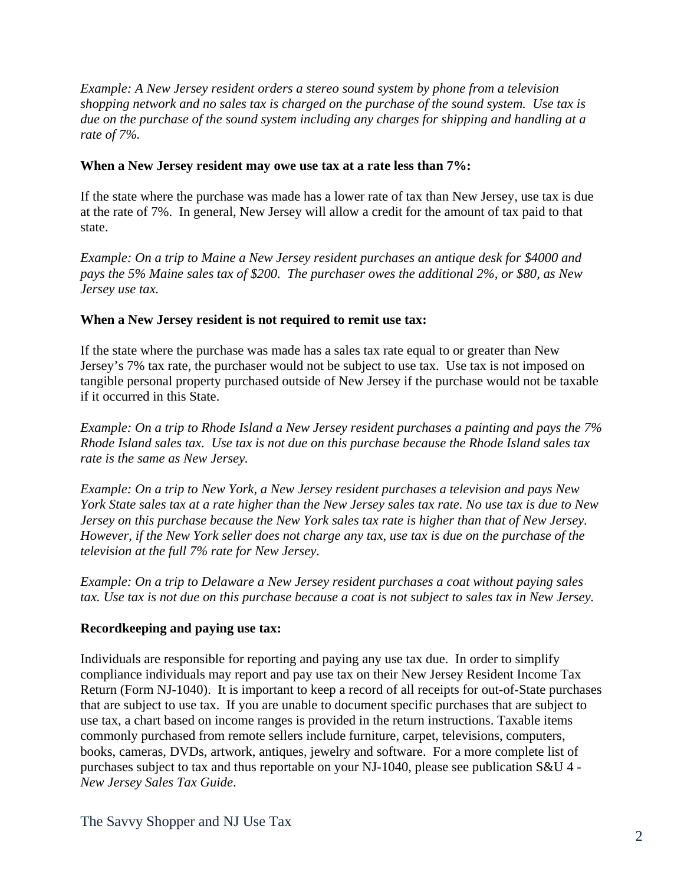*Example: A New Jersey resident orders a stereo sound system by phone from a television shopping network and no sales tax is charged on the purchase of the sound system. Use tax is due on the purchase of the sound system including any charges for shipping and handling at a rate of 7%.* 

# **When a New Jersey resident may owe use tax at a rate less than 7%:**

If the state where the purchase was made has a lower rate of tax than New Jersey, use tax is due at the rate of 7%. In general, New Jersey will allow a credit for the amount of tax paid to that state.

*Example: On a trip to Maine a New Jersey resident purchases an antique desk for \$4000 and pays the 5% Maine sales tax of \$200. The purchaser owes the additional 2%, or \$80, as New Jersey use tax.* 

# **When a New Jersey resident is not required to remit use tax:**

If the state where the purchase was made has a sales tax rate equal to or greater than New Jersey's 7% tax rate, the purchaser would not be subject to use tax. Use tax is not imposed on tangible personal property purchased outside of New Jersey if the purchase would not be taxable if it occurred in this State.

*Example: On a trip to Rhode Island a New Jersey resident purchases a painting and pays the 7% Rhode Island sales tax. Use tax is not due on this purchase because the Rhode Island sales tax rate is the same as New Jersey.* 

*Example: On a trip to New York, a New Jersey resident purchases a television and pays New York State sales tax at a rate higher than the New Jersey sales tax rate. No use tax is due to New Jersey on this purchase because the New York sales tax rate is higher than that of New Jersey. However, if the New York seller does not charge any tax, use tax is due on the purchase of the television at the full 7% rate for New Jersey.* 

*Example: On a trip to Delaware a New Jersey resident purchases a coat without paying sales tax. Use tax is not due on this purchase because a coat is not subject to sales tax in New Jersey.* 

#### **Recordkeeping and paying use tax:**

Individuals are responsible for reporting and paying any use tax due. In order to simplify compliance individuals may report and pay use tax on their New Jersey Resident Income Tax Return (Form NJ-1040). It is important to keep a record of all receipts for out-of-State purchases that are subject to use tax. If you are unable to document specific purchases that are subject to use tax, a chart based on income ranges is provided in the return instructions. Taxable items commonly purchased from remote sellers include furniture, carpet, televisions, computers, books, cameras, DVDs, artwork, antiques, jewelry and software. For a more complete list of purchases subject to tax and thus reportable on your NJ-1040, please see publication S&U 4 - *New Jersey Sales Tax Guide*.